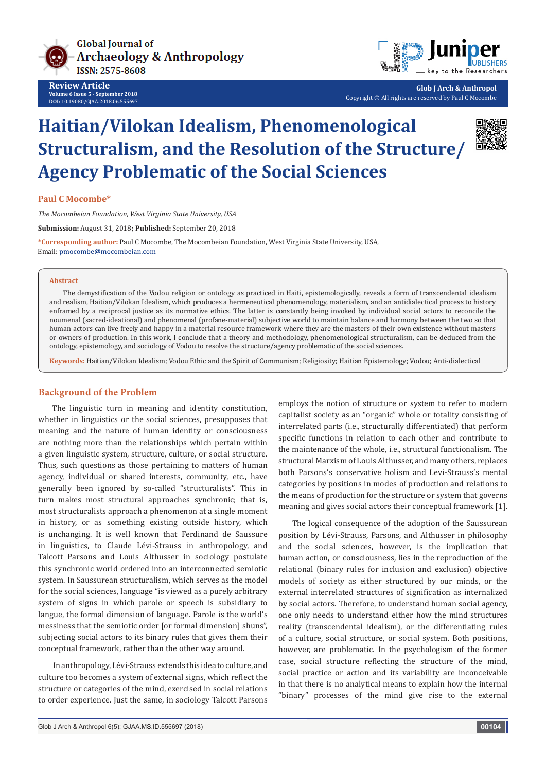

**Review Article Volume 6 Issue 5 - September 2018 DOI:** [10.19080/GJAA.2018.06.555697](http://dx.doi.org/10.19080/GJAA.2018.06.555697)



**Glob J Arch & Anthropol** Copyright © All rights are reserved by Paul C Mocombe

# **Haitian/Vilokan Idealism, Phenomenological Structuralism, and the Resolution of the Structure/ Agency Problematic of the Social Sciences**



**Paul C Mocombe\***

*The Mocombeian Foundation, West Virginia State University, USA*

**Submission:** August 31, 2018**; Published:** September 20, 2018

**\*Corresponding author:** Paul C Mocombe, The Mocombeian Foundation, West Virginia State University, USA, Email: pmocombe@mocombeian.com

#### **Abstract**

The demystification of the Vodou religion or ontology as practiced in Haiti, epistemologically, reveals a form of transcendental idealism and realism, Haitian/Vilokan Idealism, which produces a hermeneutical phenomenology, materialism, and an antidialectical process to history enframed by a reciprocal justice as its normative ethics. The latter is constantly being invoked by individual social actors to reconcile the noumenal (sacred-ideational) and phenomenal (profane-material) subjective world to maintain balance and harmony between the two so that human actors can live freely and happy in a material resource framework where they are the masters of their own existence without masters or owners of production. In this work, I conclude that a theory and methodology, phenomenological structuralism, can be deduced from the ontology, epistemology, and sociology of Vodou to resolve the structure/agency problematic of the social sciences.

**Keywords:** Haitian/Vilokan Idealism; Vodou Ethic and the Spirit of Communism; Religiosity; Haitian Epistemology; Vodou; Anti-dialectical

#### **Background of the Problem**

The linguistic turn in meaning and identity constitution, whether in linguistics or the social sciences, presupposes that meaning and the nature of human identity or consciousness are nothing more than the relationships which pertain within a given linguistic system, structure, culture, or social structure. Thus, such questions as those pertaining to matters of human agency, individual or shared interests, community, etc., have generally been ignored by so-called "structuralists". This in turn makes most structural approaches synchronic; that is, most structuralists approach a phenomenon at a single moment in history, or as something existing outside history, which is unchanging. It is well known that Ferdinand de Saussure in linguistics, to Claude Lévi-Strauss in anthropology, and Talcott Parsons and Louis Althusser in sociology postulate this synchronic world ordered into an interconnected semiotic system. In Saussurean structuralism, which serves as the model for the social sciences, language "is viewed as a purely arbitrary system of signs in which parole or speech is subsidiary to langue, the formal dimension of language. Parole is the world's messiness that the semiotic order [or formal dimension] shuns", subjecting social actors to its binary rules that gives them their conceptual framework, rather than the other way around.

 In anthropology, Lévi-Strauss extends this idea to culture, and culture too becomes a system of external signs, which reflect the structure or categories of the mind, exercised in social relations to order experience. Just the same, in sociology Talcott Parsons employs the notion of structure or system to refer to modern capitalist society as an "organic" whole or totality consisting of interrelated parts (i.e., structurally differentiated) that perform specific functions in relation to each other and contribute to the maintenance of the whole, i.e., structural functionalism. The structural Marxism of Louis Althusser, and many others, replaces both Parsons's conservative holism and Levi-Strauss's mental categories by positions in modes of production and relations to the means of production for the structure or system that governs meaning and gives social actors their conceptual framework [1].

The logical consequence of the adoption of the Saussurean position by Lévi-Strauss, Parsons, and Althusser in philosophy and the social sciences, however, is the implication that human action, or consciousness, lies in the reproduction of the relational (binary rules for inclusion and exclusion) objective models of society as either structured by our minds, or the external interrelated structures of signification as internalized by social actors. Therefore, to understand human social agency, one only needs to understand either how the mind structures reality (transcendental idealism), or the differentiating rules of a culture, social structure, or social system. Both positions, however, are problematic. In the psychologism of the former case, social structure reflecting the structure of the mind, social practice or action and its variability are inconceivable in that there is no analytical means to explain how the internal "binary" processes of the mind give rise to the external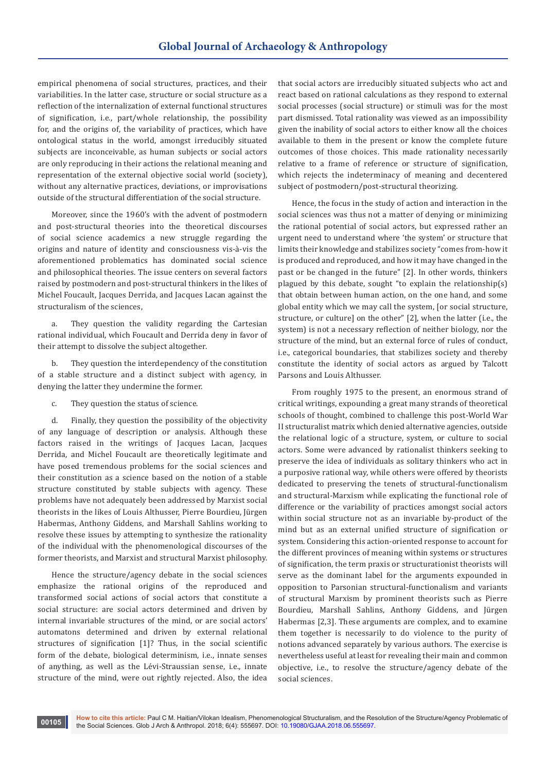empirical phenomena of social structures, practices, and their variabilities. In the latter case, structure or social structure as a reflection of the internalization of external functional structures of signification, i.e., part/whole relationship, the possibility for, and the origins of, the variability of practices, which have ontological status in the world, amongst irreducibly situated subjects are inconceivable, as human subjects or social actors are only reproducing in their actions the relational meaning and representation of the external objective social world (society), without any alternative practices, deviations, or improvisations outside of the structural differentiation of the social structure.

Moreover, since the 1960's with the advent of postmodern and post-structural theories into the theoretical discourses of social science academics a new struggle regarding the origins and nature of identity and consciousness vis-à-vis the aforementioned problematics has dominated social science and philosophical theories. The issue centers on several factors raised by postmodern and post-structural thinkers in the likes of Michel Foucault, Jacques Derrida, and Jacques Lacan against the structuralism of the sciences,

a. They question the validity regarding the Cartesian rational individual, which Foucault and Derrida deny in favor of their attempt to dissolve the subject altogether.

b. They question the interdependency of the constitution of a stable structure and a distinct subject with agency, in denying the latter they undermine the former.

c. They question the status of science.

d. Finally, they question the possibility of the objectivity of any language of description or analysis. Although these factors raised in the writings of Jacques Lacan, Jacques Derrida, and Michel Foucault are theoretically legitimate and have posed tremendous problems for the social sciences and their constitution as a science based on the notion of a stable structure constituted by stable subjects with agency. These problems have not adequately been addressed by Marxist social theorists in the likes of Louis Althusser, Pierre Bourdieu, Jürgen Habermas, Anthony Giddens, and Marshall Sahlins working to resolve these issues by attempting to synthesize the rationality of the individual with the phenomenological discourses of the former theorists, and Marxist and structural Marxist philosophy.

Hence the structure/agency debate in the social sciences emphasize the rational origins of the reproduced and transformed social actions of social actors that constitute a social structure: are social actors determined and driven by internal invariable structures of the mind, or are social actors' automatons determined and driven by external relational structures of signification [1]? Thus, in the social scientific form of the debate, biological determinism, i.e., innate senses of anything, as well as the Lévi-Straussian sense, i.e., innate structure of the mind, were out rightly rejected. Also, the idea

that social actors are irreducibly situated subjects who act and react based on rational calculations as they respond to external social processes (social structure) or stimuli was for the most part dismissed. Total rationality was viewed as an impossibility given the inability of social actors to either know all the choices available to them in the present or know the complete future outcomes of those choices. This made rationality necessarily relative to a frame of reference or structure of signification, which rejects the indeterminacy of meaning and decentered subject of postmodern/post-structural theorizing.

Hence, the focus in the study of action and interaction in the social sciences was thus not a matter of denying or minimizing the rational potential of social actors, but expressed rather an urgent need to understand where 'the system' or structure that limits their knowledge and stabilizes society "comes from-how it is produced and reproduced, and how it may have changed in the past or be changed in the future" [2]. In other words, thinkers plagued by this debate, sought "to explain the relationship(s) that obtain between human action, on the one hand, and some global entity which we may call the system, [or social structure, structure, or culture] on the other" [2], when the latter (i.e., the system) is not a necessary reflection of neither biology, nor the structure of the mind, but an external force of rules of conduct, i.e., categorical boundaries, that stabilizes society and thereby constitute the identity of social actors as argued by Talcott Parsons and Louis Althusser.

From roughly 1975 to the present, an enormous strand of critical writings, expounding a great many strands of theoretical schools of thought, combined to challenge this post-World War II structuralist matrix which denied alternative agencies, outside the relational logic of a structure, system, or culture to social actors. Some were advanced by rationalist thinkers seeking to preserve the idea of individuals as solitary thinkers who act in a purposive rational way, while others were offered by theorists dedicated to preserving the tenets of structural-functionalism and structural-Marxism while explicating the functional role of difference or the variability of practices amongst social actors within social structure not as an invariable by-product of the mind but as an external unified structure of signification or system. Considering this action-oriented response to account for the different provinces of meaning within systems or structures of signification, the term praxis or structurationist theorists will serve as the dominant label for the arguments expounded in opposition to Parsonian structural-functionalism and variants of structural Marxism by prominent theorists such as Pierre Bourdieu, Marshall Sahlins, Anthony Giddens, and Jürgen Habermas [2,3]. These arguments are complex, and to examine them together is necessarily to do violence to the purity of notions advanced separately by various authors. The exercise is nevertheless useful at least for revealing their main and common objective, i.e., to resolve the structure/agency debate of the social sciences.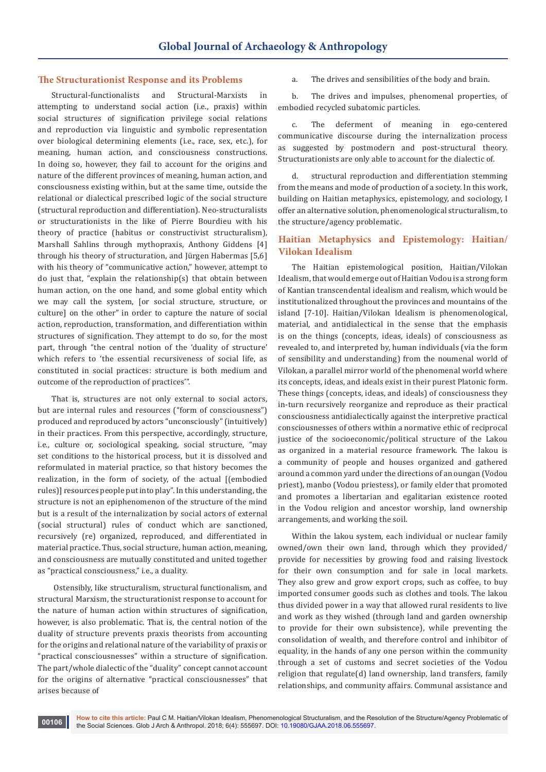## **The Structurationist Response and its Problems**

Structural-functionalists and Structural-Marxists in attempting to understand social action (i.e., praxis) within social structures of signification privilege social relations and reproduction via linguistic and symbolic representation over biological determining elements (i.e., race, sex, etc.), for meaning, human action, and consciousness constructions. In doing so, however, they fail to account for the origins and nature of the different provinces of meaning, human action, and consciousness existing within, but at the same time, outside the relational or dialectical prescribed logic of the social structure (structural reproduction and differentiation). Neo-structuralists or structurationists in the like of Pierre Bourdieu with his theory of practice (habitus or constructivist structuralism), Marshall Sahlins through mythopraxis, Anthony Giddens [4] through his theory of structuration, and Jürgen Habermas [5,6] with his theory of "communicative action," however, attempt to do just that, "explain the relationship(s) that obtain between human action, on the one hand, and some global entity which we may call the system, [or social structure, structure, or culture] on the other" in order to capture the nature of social action, reproduction, transformation, and differentiation within structures of signification. They attempt to do so, for the most part, through "the central notion of the 'duality of structure' which refers to 'the essential recursiveness of social life, as constituted in social practices: structure is both medium and outcome of the reproduction of practices'".

That is, structures are not only external to social actors, but are internal rules and resources ("form of consciousness") produced and reproduced by actors "unconsciously" (intuitively) in their practices. From this perspective, accordingly, structure, i.e., culture or, sociological speaking, social structure, "may set conditions to the historical process, but it is dissolved and reformulated in material practice, so that history becomes the realization, in the form of society, of the actual [(embodied rules)] resources people put into play". In this understanding, the structure is not an epiphenomenon of the structure of the mind but is a result of the internalization by social actors of external (social structural) rules of conduct which are sanctioned, recursively (re) organized, reproduced, and differentiated in material practice. Thus, social structure, human action, meaning, and consciousness are mutually constituted and united together as "practical consciousness," i.e., a duality.

 Ostensibly, like structuralism, structural functionalism, and structural Marxism, the structurationist response to account for the nature of human action within structures of signification, however, is also problematic. That is, the central notion of the duality of structure prevents praxis theorists from accounting for the origins and relational nature of the variability of praxis or "practical consciousnesses" within a structure of signification. The part/whole dialectic of the "duality" concept cannot account for the origins of alternative "practical consciousnesses" that arises because of

a. The drives and sensibilities of the body and brain.

b. The drives and impulses, phenomenal properties, of embodied recycled subatomic particles.

c. The deferment of meaning in ego-centered communicative discourse during the internalization process as suggested by postmodern and post-structural theory. Structurationists are only able to account for the dialectic of.

d. structural reproduction and differentiation stemming from the means and mode of production of a society. In this work, building on Haitian metaphysics, epistemology, and sociology, I offer an alternative solution, phenomenological structuralism, to the structure/agency problematic.

## **Haitian Metaphysics and Epistemology: Haitian/ Vilokan Idealism**

The Haitian epistemological position, Haitian/Vilokan Idealism, that would emerge out of Haitian Vodou is a strong form of Kantian transcendental idealism and realism, which would be institutionalized throughout the provinces and mountains of the island [7-10]. Haitian/Vilokan Idealism is phenomenological, material, and antidialectical in the sense that the emphasis is on the things (concepts, ideas, ideals) of consciousness as revealed to, and interpreted by, human individuals (via the form of sensibility and understanding) from the noumenal world of Vilokan, a parallel mirror world of the phenomenal world where its concepts, ideas, and ideals exist in their purest Platonic form. These things (concepts, ideas, and ideals) of consciousness they in-turn recursively reorganize and reproduce as their practical consciousness antidialectically against the interpretive practical consciousnesses of others within a normative ethic of reciprocal justice of the socioeconomic/political structure of the Lakou as organized in a material resource framework. The lakou is a community of people and houses organized and gathered around a common yard under the directions of an oungan (Vodou priest), manbo (Vodou priestess), or family elder that promoted and promotes a libertarian and egalitarian existence rooted in the Vodou religion and ancestor worship, land ownership arrangements, and working the soil.

Within the lakou system, each individual or nuclear family owned/own their own land, through which they provided/ provide for necessities by growing food and raising livestock for their own consumption and for sale in local markets. They also grew and grow export crops, such as coffee, to buy imported consumer goods such as clothes and tools. The lakou thus divided power in a way that allowed rural residents to live and work as they wished (through land and garden ownership to provide for their own subsistence), while preventing the consolidation of wealth, and therefore control and inhibitor of equality, in the hands of any one person within the community through a set of customs and secret societies of the Vodou religion that regulate(d) land ownership, land transfers, family relationships, and community affairs. Communal assistance and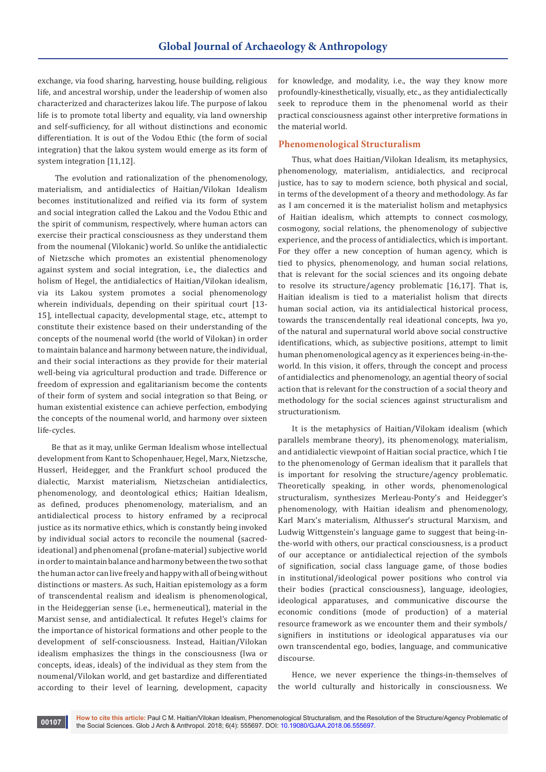exchange, via food sharing, harvesting, house building, religious life, and ancestral worship, under the leadership of women also characterized and characterizes lakou life. The purpose of lakou life is to promote total liberty and equality, via land ownership and self-sufficiency, for all without distinctions and economic differentiation. It is out of the Vodou Ethic (the form of social integration) that the lakou system would emerge as its form of system integration [11,12].

 The evolution and rationalization of the phenomenology, materialism, and antidialectics of Haitian/Vilokan Idealism becomes institutionalized and reified via its form of system and social integration called the Lakou and the Vodou Ethic and the spirit of communism, respectively, where human actors can exercise their practical consciousness as they understand them from the noumenal (Vilokanic) world. So unlike the antidialectic of Nietzsche which promotes an existential phenomenology against system and social integration, i.e., the dialectics and holism of Hegel, the antidialectics of Haitian/Vilokan idealism, via its Lakou system promotes a social phenomenology wherein individuals, depending on their spiritual court [13- 15], intellectual capacity, developmental stage, etc., attempt to constitute their existence based on their understanding of the concepts of the noumenal world (the world of Vilokan) in order to maintain balance and harmony between nature, the individual, and their social interactions as they provide for their material well-being via agricultural production and trade. Difference or freedom of expression and egalitarianism become the contents of their form of system and social integration so that Being, or human existential existence can achieve perfection, embodying the concepts of the noumenal world, and harmony over sixteen life-cycles.

Be that as it may, unlike German Idealism whose intellectual development from Kant to Schopenhauer, Hegel, Marx, Nietzsche, Husserl, Heidegger, and the Frankfurt school produced the dialectic, Marxist materialism, Nietzscheian antidialectics, phenomenology, and deontological ethics; Haitian Idealism, as defined, produces phenomenology, materialism, and an antidialectical process to history enframed by a reciprocal justice as its normative ethics, which is constantly being invoked by individual social actors to reconcile the noumenal (sacredideational) and phenomenal (profane-material) subjective world in order to maintain balance and harmony between the two so that the human actor can live freely and happy with all of being without distinctions or masters. As such, Haitian epistemology as a form of transcendental realism and idealism is phenomenological, in the Heideggerian sense (i.e., hermeneutical), material in the Marxist sense, and antidialectical. It refutes Hegel's claims for the importance of historical formations and other people to the development of self-consciousness. Instead, Haitian/Vilokan idealism emphasizes the things in the consciousness (lwa or concepts, ideas, ideals) of the individual as they stem from the noumenal/Vilokan world, and get bastardize and differentiated according to their level of learning, development, capacity

for knowledge, and modality, i.e., the way they know more profoundly-kinesthetically, visually, etc., as they antidialectically seek to reproduce them in the phenomenal world as their practical consciousness against other interpretive formations in the material world.

#### **Phenomenological Structuralism**

Thus, what does Haitian/Vilokan Idealism, its metaphysics, phenomenology, materialism, antidialectics, and reciprocal justice, has to say to modern science, both physical and social, in terms of the development of a theory and methodology. As far as I am concerned it is the materialist holism and metaphysics of Haitian idealism, which attempts to connect cosmology, cosmogony, social relations, the phenomenology of subjective experience, and the process of antidialectics, which is important. For they offer a new conception of human agency, which is tied to physics, phenomenology, and human social relations, that is relevant for the social sciences and its ongoing debate to resolve its structure/agency problematic [16,17]. That is, Haitian idealism is tied to a materialist holism that directs human social action, via its antidialectical historical process, towards the transcendentally real ideational concepts, lwa yo, of the natural and supernatural world above social constructive identifications, which, as subjective positions, attempt to limit human phenomenological agency as it experiences being-in-theworld. In this vision, it offers, through the concept and process of antidialectics and phenomenology, an agential theory of social action that is relevant for the construction of a social theory and methodology for the social sciences against structuralism and structurationism.

It is the metaphysics of Haitian/Vilokam idealism (which parallels membrane theory), its phenomenology, materialism, and antidialectic viewpoint of Haitian social practice, which I tie to the phenomenology of German idealism that it parallels that is important for resolving the structure/agency problematic. Theoretically speaking, in other words, phenomenological structuralism, synthesizes Merleau-Ponty's and Heidegger's phenomenology, with Haitian idealism and phenomenology, Karl Marx's materialism, Althusser's structural Marxism, and Ludwig Wittgenstein's language game to suggest that being-inthe-world with others, our practical consciousness, is a product of our acceptance or antidialectical rejection of the symbols of signification, social class language game, of those bodies in institutional/ideological power positions who control via their bodies (practical consciousness), language, ideologies, ideological apparatuses, and communicative discourse the economic conditions (mode of production) of a material resource framework as we encounter them and their symbols/ signifiers in institutions or ideological apparatuses via our own transcendental ego, bodies, language, and communicative discourse.

Hence, we never experience the things-in-themselves of the world culturally and historically in consciousness. We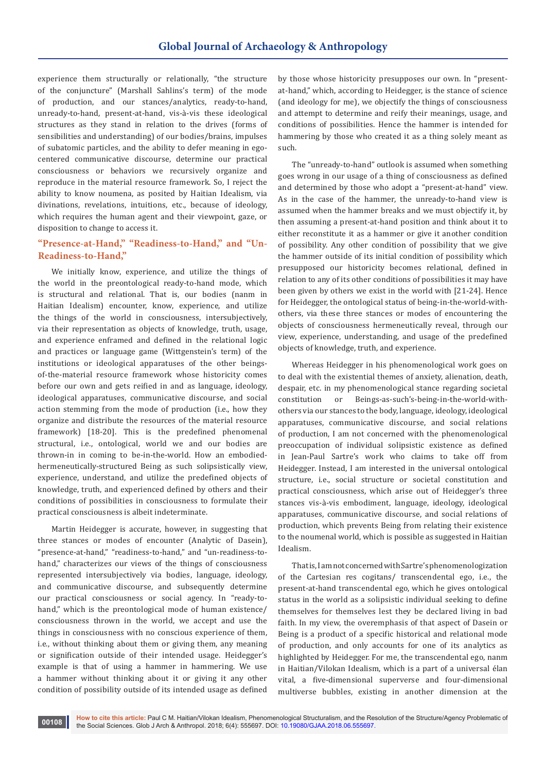experience them structurally or relationally, "the structure of the conjuncture" (Marshall Sahlins's term) of the mode of production, and our stances/analytics, ready-to-hand, unready-to-hand, present-at-hand, vis-à-vis these ideological structures as they stand in relation to the drives (forms of sensibilities and understanding) of our bodies/brains, impulses of subatomic particles, and the ability to defer meaning in egocentered communicative discourse, determine our practical consciousness or behaviors we recursively organize and reproduce in the material resource framework. So, I reject the ability to know noumena, as posited by Haitian Idealism, via divinations, revelations, intuitions, etc., because of ideology, which requires the human agent and their viewpoint, gaze, or disposition to change to access it.

# **"Presence-at-Hand," "Readiness-to-Hand," and "Un-Readiness-to-Hand,"**

We initially know, experience, and utilize the things of the world in the preontological ready-to-hand mode, which is structural and relational. That is, our bodies (nanm in Haitian Idealism) encounter, know, experience, and utilize the things of the world in consciousness, intersubjectively, via their representation as objects of knowledge, truth, usage, and experience enframed and defined in the relational logic and practices or language game (Wittgenstein's term) of the institutions or ideological apparatuses of the other beingsof-the-material resource framework whose historicity comes before our own and gets reified in and as language, ideology, ideological apparatuses, communicative discourse, and social action stemming from the mode of production (i.e., how they organize and distribute the resources of the material resource framework) [18-20]. This is the predefined phenomenal structural, i.e., ontological, world we and our bodies are thrown-in in coming to be-in-the-world. How an embodiedhermeneutically-structured Being as such solipsistically view, experience, understand, and utilize the predefined objects of knowledge, truth, and experienced defined by others and their conditions of possibilities in consciousness to formulate their practical consciousness is albeit indeterminate.

Martin Heidegger is accurate, however, in suggesting that three stances or modes of encounter (Analytic of Dasein), "presence-at-hand," "readiness-to-hand," and "un-readiness-tohand," characterizes our views of the things of consciousness represented intersubjectively via bodies, language, ideology, and communicative discourse, and subsequently determine our practical consciousness or social agency. In "ready-tohand," which is the preontological mode of human existence/ consciousness thrown in the world, we accept and use the things in consciousness with no conscious experience of them, i.e., without thinking about them or giving them, any meaning or signification outside of their intended usage. Heidegger's example is that of using a hammer in hammering. We use a hammer without thinking about it or giving it any other condition of possibility outside of its intended usage as defined

by those whose historicity presupposes our own. In "presentat-hand," which, according to Heidegger, is the stance of science (and ideology for me), we objectify the things of consciousness and attempt to determine and reify their meanings, usage, and conditions of possibilities. Hence the hammer is intended for hammering by those who created it as a thing solely meant as such.

The "unready-to-hand" outlook is assumed when something goes wrong in our usage of a thing of consciousness as defined and determined by those who adopt a "present-at-hand" view. As in the case of the hammer, the unready-to-hand view is assumed when the hammer breaks and we must objectify it, by then assuming a present-at-hand position and think about it to either reconstitute it as a hammer or give it another condition of possibility. Any other condition of possibility that we give the hammer outside of its initial condition of possibility which presupposed our historicity becomes relational, defined in relation to any of its other conditions of possibilities it may have been given by others we exist in the world with [21-24]. Hence for Heidegger, the ontological status of being-in-the-world-withothers, via these three stances or modes of encountering the objects of consciousness hermeneutically reveal, through our view, experience, understanding, and usage of the predefined objects of knowledge, truth, and experience.

Whereas Heidegger in his phenomenological work goes on to deal with the existential themes of anxiety, alienation, death, despair, etc. in my phenomenological stance regarding societal constitution or Beings-as-such's-being-in-the-world-withothers via our stances to the body, language, ideology, ideological apparatuses, communicative discourse, and social relations of production, I am not concerned with the phenomenological preoccupation of individual solipsistic existence as defined in Jean-Paul Sartre's work who claims to take off from Heidegger. Instead, I am interested in the universal ontological structure, i.e., social structure or societal constitution and practical consciousness, which arise out of Heidegger's three stances vis-à-vis embodiment, language, ideology, ideological apparatuses, communicative discourse, and social relations of production, which prevents Being from relating their existence to the noumenal world, which is possible as suggested in Haitian Idealism.

That is, I am not concerned with Sartre's phenomenologization of the Cartesian res cogitans/ transcendental ego, i.e., the present-at-hand transcendental ego, which he gives ontological status in the world as a solipsistic individual seeking to define themselves for themselves lest they be declared living in bad faith. In my view, the overemphasis of that aspect of Dasein or Being is a product of a specific historical and relational mode of production, and only accounts for one of its analytics as highlighted by Heidegger. For me, the transcendental ego, nanm in Haitian/Vilokan Idealism, which is a part of a universal élan vital, a five-dimensional superverse and four-dimensional multiverse bubbles, existing in another dimension at the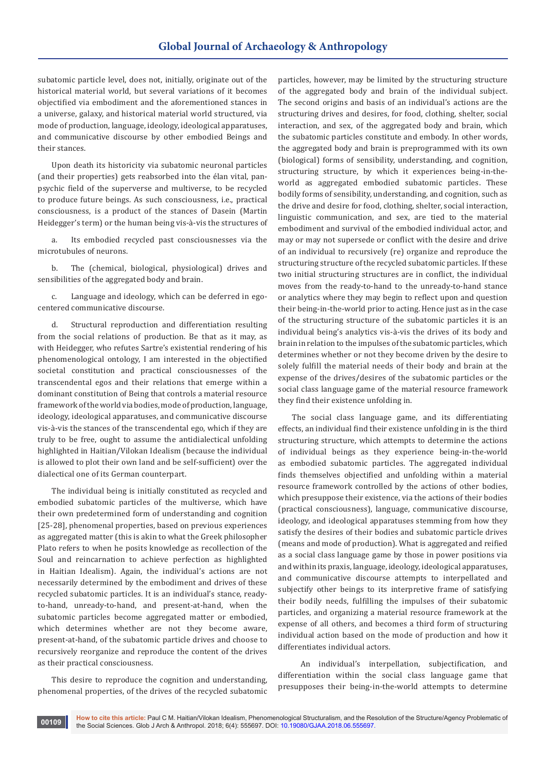subatomic particle level, does not, initially, originate out of the historical material world, but several variations of it becomes objectified via embodiment and the aforementioned stances in a universe, galaxy, and historical material world structured, via mode of production, language, ideology, ideological apparatuses, and communicative discourse by other embodied Beings and their stances.

Upon death its historicity via subatomic neuronal particles (and their properties) gets reabsorbed into the élan vital, panpsychic field of the superverse and multiverse, to be recycled to produce future beings. As such consciousness, i.e., practical consciousness, is a product of the stances of Dasein (Martin Heidegger's term) or the human being vis-à-vis the structures of

a. Its embodied recycled past consciousnesses via the microtubules of neurons.

b. The (chemical, biological, physiological) drives and sensibilities of the aggregated body and brain.

c. Language and ideology, which can be deferred in egocentered communicative discourse.

d. Structural reproduction and differentiation resulting from the social relations of production. Be that as it may, as with Heidegger, who refutes Sartre's existential rendering of his phenomenological ontology, I am interested in the objectified societal constitution and practical consciousnesses of the transcendental egos and their relations that emerge within a dominant constitution of Being that controls a material resource framework of the world via bodies, mode of production, language, ideology, ideological apparatuses, and communicative discourse vis-à-vis the stances of the transcendental ego, which if they are truly to be free, ought to assume the antidialectical unfolding highlighted in Haitian/Vilokan Idealism (because the individual is allowed to plot their own land and be self-sufficient) over the dialectical one of its German counterpart.

The individual being is initially constituted as recycled and embodied subatomic particles of the multiverse, which have their own predetermined form of understanding and cognition [25-28], phenomenal properties, based on previous experiences as aggregated matter (this is akin to what the Greek philosopher Plato refers to when he posits knowledge as recollection of the Soul and reincarnation to achieve perfection as highlighted in Haitian Idealism). Again, the individual's actions are not necessarily determined by the embodiment and drives of these recycled subatomic particles. It is an individual's stance, readyto-hand, unready-to-hand, and present-at-hand, when the subatomic particles become aggregated matter or embodied, which determines whether are not they become aware, present-at-hand, of the subatomic particle drives and choose to recursively reorganize and reproduce the content of the drives as their practical consciousness.

This desire to reproduce the cognition and understanding, phenomenal properties, of the drives of the recycled subatomic particles, however, may be limited by the structuring structure of the aggregated body and brain of the individual subject. The second origins and basis of an individual's actions are the structuring drives and desires, for food, clothing, shelter, social interaction, and sex, of the aggregated body and brain, which the subatomic particles constitute and embody. In other words, the aggregated body and brain is preprogrammed with its own (biological) forms of sensibility, understanding, and cognition, structuring structure, by which it experiences being-in-theworld as aggregated embodied subatomic particles. These bodily forms of sensibility, understanding, and cognition, such as the drive and desire for food, clothing, shelter, social interaction, linguistic communication, and sex, are tied to the material embodiment and survival of the embodied individual actor, and may or may not supersede or conflict with the desire and drive of an individual to recursively (re) organize and reproduce the structuring structure of the recycled subatomic particles. If these two initial structuring structures are in conflict, the individual moves from the ready-to-hand to the unready-to-hand stance or analytics where they may begin to reflect upon and question their being-in-the-world prior to acting. Hence just as in the case of the structuring structure of the subatomic particles it is an individual being's analytics vis-à-vis the drives of its body and brain in relation to the impulses of the subatomic particles, which determines whether or not they become driven by the desire to solely fulfill the material needs of their body and brain at the expense of the drives/desires of the subatomic particles or the social class language game of the material resource framework they find their existence unfolding in.

The social class language game, and its differentiating effects, an individual find their existence unfolding in is the third structuring structure, which attempts to determine the actions of individual beings as they experience being-in-the-world as embodied subatomic particles. The aggregated individual finds themselves objectified and unfolding within a material resource framework controlled by the actions of other bodies, which presuppose their existence, via the actions of their bodies (practical consciousness), language, communicative discourse, ideology, and ideological apparatuses stemming from how they satisfy the desires of their bodies and subatomic particle drives (means and mode of production). What is aggregated and reified as a social class language game by those in power positions via and within its praxis, language, ideology, ideological apparatuses, and communicative discourse attempts to interpellated and subjectify other beings to its interpretive frame of satisfying their bodily needs, fulfilling the impulses of their subatomic particles, and organizing a material resource framework at the expense of all others, and becomes a third form of structuring individual action based on the mode of production and how it differentiates individual actors.

 An individual's interpellation, subjectification, and differentiation within the social class language game that presupposes their being-in-the-world attempts to determine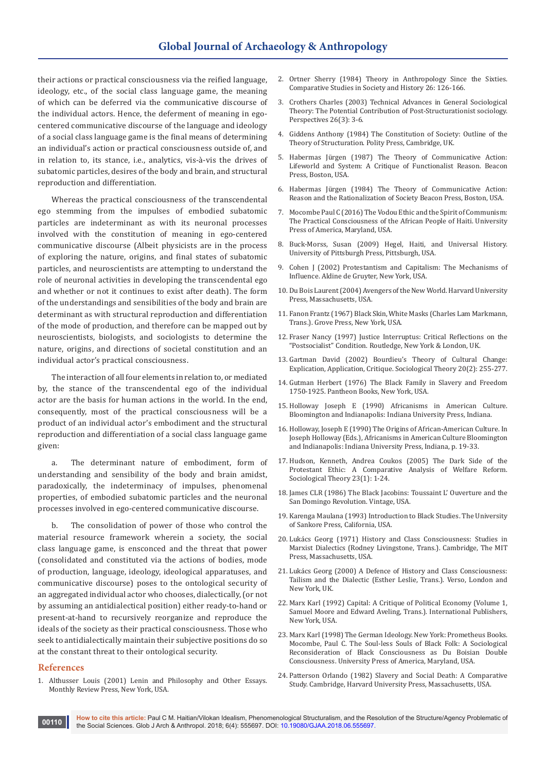their actions or practical consciousness via the reified language, ideology, etc., of the social class language game, the meaning of which can be deferred via the communicative discourse of the individual actors. Hence, the deferment of meaning in egocentered communicative discourse of the language and ideology of a social class language game is the final means of determining an individual's action or practical consciousness outside of, and in relation to, its stance, i.e., analytics, vis-à-vis the drives of subatomic particles, desires of the body and brain, and structural reproduction and differentiation.

Whereas the practical consciousness of the transcendental ego stemming from the impulses of embodied subatomic particles are indeterminant as with its neuronal processes involved with the constitution of meaning in ego-centered communicative discourse (Albeit physicists are in the process of exploring the nature, origins, and final states of subatomic particles, and neuroscientists are attempting to understand the role of neuronal activities in developing the transcendental ego and whether or not it continues to exist after death). The form of the understandings and sensibilities of the body and brain are determinant as with structural reproduction and differentiation of the mode of production, and therefore can be mapped out by neuroscientists, biologists, and sociologists to determine the nature, origins, and directions of societal constitution and an individual actor's practical consciousness.

The interaction of all four elements in relation to, or mediated by, the stance of the transcendental ego of the individual actor are the basis for human actions in the world. In the end, consequently, most of the practical consciousness will be a product of an individual actor's embodiment and the structural reproduction and differentiation of a social class language game given:

a. The determinant nature of embodiment, form of understanding and sensibility of the body and brain amidst, paradoxically, the indeterminacy of impulses, phenomenal properties, of embodied subatomic particles and the neuronal processes involved in ego-centered communicative discourse.

b. The consolidation of power of those who control the material resource framework wherein a society, the social class language game, is ensconced and the threat that power (consolidated and constituted via the actions of bodies, mode of production, language, ideology, ideological apparatuses, and communicative discourse) poses to the ontological security of an aggregated individual actor who chooses, dialectically, (or not by assuming an antidialectical position) either ready-to-hand or present-at-hand to recursively reorganize and reproduce the ideals of the society as their practical consciousness. Those who seek to antidialectically maintain their subjective positions do so at the constant threat to their ontological security.

### **References**

1. Althusser Louis (2001) Lenin and Philosophy and Other Essays. Monthly Review Press, New York, USA.

- 2. Ortner Sherry (1984) Theory in Anthropology Since the Sixties. Comparative Studies in Society and History 26: 126-166.
- 3. Crothers Charles (2003) Technical Advances in General Sociological Theory: The Potential Contribution of Post-Structurationist sociology. Perspectives 26(3): 3-6.
- 4. Giddens Anthony (1984) The Constitution of Society: Outline of the Theory of Structuration. Polity Press, Cambridge, UK.
- 5. Habermas Jürgen (1987) The Theory of Communicative Action: Lifeworld and System: A Critique of Functionalist Reason. Beacon Press, Boston, USA.
- 6. Habermas Jürgen (1984) The Theory of Communicative Action: Reason and the Rationalization of Society Beacon Press, Boston, USA.
- 7. Mocombe Paul C (2016) The Vodou Ethic and the Spirit of Communism: The Practical Consciousness of the African People of Haiti. University Press of America, Maryland, USA.
- 8. Buck-Morss, Susan (2009) Hegel, Haiti, and Universal History. University of Pittsburgh Press, Pittsburgh, USA.
- 9. Cohen J (2002) Protestantism and Capitalism: The Mechanisms of Influence. Aldine de Gruyter, New York, USA.
- 10. Du Bois Laurent (2004) Avengers of the New World. Harvard University Press, Massachusetts, USA.
- 11. Fanon Frantz (1967) Black Skin, White Masks (Charles Lam Markmann, Trans.). Grove Press, New York, USA.
- 12. Fraser Nancy (1997) Justice Interruptus: Critical Reflections on the "Postsocialist" Condition. Routledge, New York & London, UK.
- 13. [Gartman David \(2002\) Bourdieu's Theory of Cultural Change:](https://www.jstor.org/stable/3108649)  [Explication, Application, Critique. Sociological Theory 20\(2\): 255-277.](https://www.jstor.org/stable/3108649)
- 14. Gutman Herbert (1976) The Black Family in Slavery and Freedom 1750-1925. Pantheon Books, New York, USA.
- 15. Holloway Joseph E (1990) Africanisms in American Culture. Bloomington and Indianapolis: Indiana University Press, Indiana.
- 16. Holloway, Joseph E (1990) The Origins of African-American Culture. In Joseph Holloway (Eds.), Africanisms in American Culture Bloomington and Indianapolis: Indiana University Press, Indiana, p. 19-33.
- 17. [Hudson, Kenneth, Andrea Coukos \(2005\) The Dark Side of the](https://onlinelibrary.wiley.com/doi/abs/10.1111/j.0735-2751.2005.00240.x)  [Protestant Ethic: A Comparative Analysis of Welfare Reform.](https://onlinelibrary.wiley.com/doi/abs/10.1111/j.0735-2751.2005.00240.x)  [Sociological Theory 23\(1\): 1-24.](https://onlinelibrary.wiley.com/doi/abs/10.1111/j.0735-2751.2005.00240.x)
- 18. James CLR (1986) The Black Jacobins: Toussaint L' Ouverture and the San Domingo Revolution. Vintage, USA.
- 19. Karenga Maulana (1993) Introduction to Black Studies. The University of Sankore Press, California, USA.
- 20. Lukács Georg (1971) History and Class Consciousness: Studies in Marxist Dialectics (Rodney Livingstone, Trans.). Cambridge, The MIT Press, Massachusetts, USA.
- 21. Lukács Georg (2000) A Defence of History and Class Consciousness: Tailism and the Dialectic (Esther Leslie, Trans.). Verso, London and New York, UK.
- 22. Marx Karl (1992) Capital: A Critique of Political Economy (Volume 1, Samuel Moore and Edward Aveling, Trans.). International Publishers, New York, USA.
- 23. Marx Karl (1998) The German Ideology. New York: Prometheus Books. Mocombe, Paul C. The Soul-less Souls of Black Folk: A Sociological Reconsideration of Black Consciousness as Du Boisian Double Consciousness. University Press of America, Maryland, USA.
- 24. Patterson Orlando (1982) Slavery and Social Death: A Comparative Study. Cambridge, Harvard University Press, Massachusetts, USA.

**How to cite this article:** Paul C M. Haitian/Vilokan Idealism, Phenomenological Structuralism, and the Resolution of the Structure/Agency Problematic of the Social Sciences. Glob J Arch & Anthropol. 2018; 6(4): 555697. DOI: [10.19080/GJAA.2018.06.555697.](http://dx.doi.org/10.19080/GJAA.2018.06.555697) **the Social Sciences.** Glob J Arch & Anthropol. 2018; 6(4): 555697. DOI: 10.19080/GJAA.2018.06.555697.